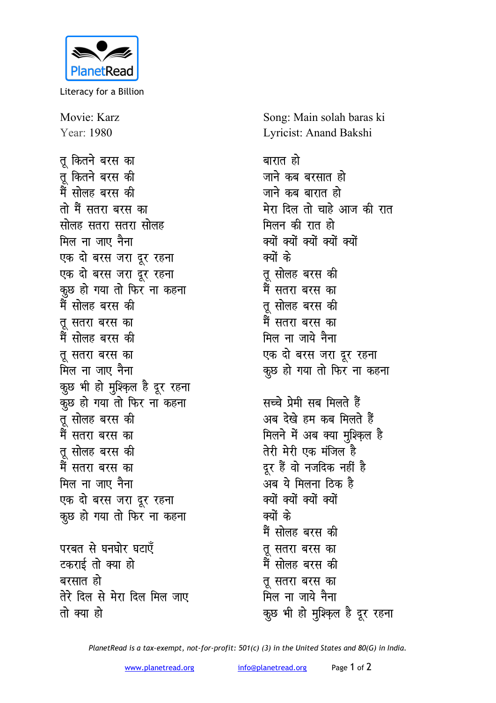

Literacy for a Billion

Movie: Karz Year: 1980 तु कितने बरस का तु कितने बरस की मैं सोलह बरस की तो मैं सतरा बरस का सोलह सतरा सतरा सोलह मिल ना जाए नैना एक दो बरस जरा दूर रहना एक दो बरस जरा दूर रहना कुछ हो गया तो फिर ना कहना मैं सोलह बरस की तू सतरा बरस का मैं सोलह बरस की तू सतरा बरस का मिल ना जाए नैना कुछ भी हो मुश्क़िल है दूर रहना कूछ हो गया तो फिर ना कहना तु सोलह बरस की मैं सतरा बरस का तू सोलह बरस की मैं सतरा बरस का मिल ना जाए नैना एक दो बरस जरा दूर रहना कूछ हो गया तो फिर ना कहना

परबत से घनघोर घटाएँ टकराई तो क्या हो बरसात हो तेरे दिल से मेरा दिल मिल जाए तो क्या हो

Song: Main solah baras ki Lyricist: Anand Bakshi

बारात हो जाने कब बरसात हो जाने कब बारात हो मेरा दिल तो चाहे आज की रात मिलन की रात हो क्यों क्यों क्यों क्यों क्यों क्यों के तू सोलह बरस की मैं सतरा बरस का तू सोलह बरस की मैं सतरा बरस का मिल ना जाये नैना एक दो बरस जरा दूर रहना कूछ हो गया तो फिर ना कहना सच्चे प्रेमी सब मिलते हैं अब देखे हम कब मिलते हैं मिलने में अब क्या मुश्क़िल है तेरी मेरी एक मंजिल है दूर हैं वो नजदिक नहीं है अब ये मिलना ठिक है क्यों क्यों क्यों क्यों क्यों के मैं सोलह बरस की तू सतरा बरस का मैं सोलह बरस की त सतरा बरस का मिल ना जाये नैना कुछ भी हो मुश्क़िल है दूर रहना

PlanetRead is a tax-exempt, not-for-profit: 501(c) (3) in the United States and 80(G) in India.